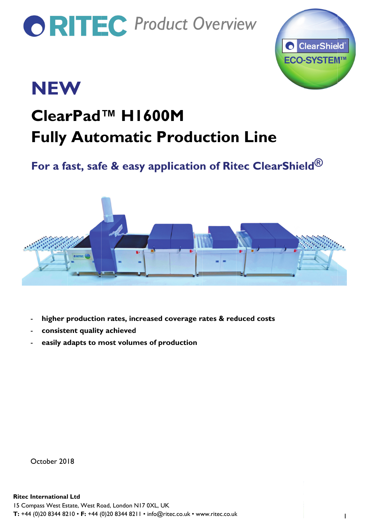# **ORITEC** Product Overview



## **NEW**

### ClearPad<sup>™</sup> H1600M **Fully Automatic Production Line**

### For a fast, safe & easy application of Ritec ClearShield<sup>®</sup>



- higher production rates, increased coverage rates & reduced costs
- consistent quality achieved
- easily adapts to most volumes of production

October 2018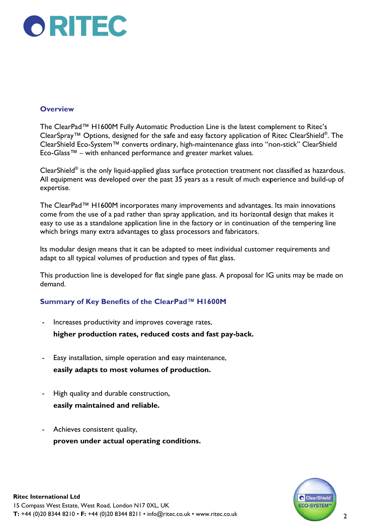

#### **Overview**

The ClearPad™ H1600M Fully Automatic Production Line is the latest complement to Ritec's ClearSpray™ Options, designed for the safe and easy factory application of Ritec ClearShield®. The ClearShield Eco-System™ converts ordinary, high-maintenance glass into "non-stick" ClearShield Eco-Glass™ – with enhanced performance and greater market values.

ClearShield<sup>®</sup> is the only liquid-applied glass surface protection treatment not classified as hazardous. All equipment was developed over the past 35 years as a result of much experience and build-up of expertise.

The ClearPad™ H1600M incorporates many improvements and advantages. Its main innovations come from the use of a pad rather than spray application, and its horizontal design that makes it easy to use as a standalone application line in the factory or in continuation of the tempering line which brings many extra advantages to glass processors and fabricators.

Its modular design means that it can be adapted to meet individual customer requirements and adapt to all typical volumes of production and types of flat glass.

This production line is developed for flat single pane glass. A proposal for IG units may be made on demand.

#### Summary of Key Benefits of the ClearPad™ H1600M

Increases productivity and improves coverage rates,

higher production rates, reduced costs and fast pay-back.

- Easy installation, simple operation and easy maintenance, easily adapts to most volumes of production.
- High quality and durable construction, easily maintained and reliable.
- Achieves consistent quality, proven under actual operating conditions.

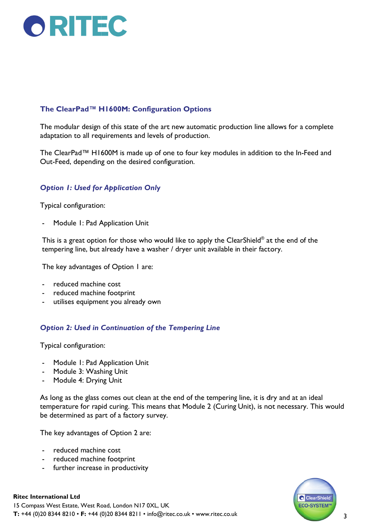

#### The ClearPad™ H1600M: Configuration Options

The modular design of this state of the art new automatic production line allows for a complete adaptation to all requirements and levels of production.

The ClearPad™ H1600M is made up of one to four key modules in addition to the In-Feed and Out-Feed, depending on the desired configuration.

#### **Option 1: Used for Application Only**

Typical configuration:

Module 1: Pad Application Unit

This is a great option for those who would like to apply the ClearShield® at the end of the tempering line, but already have a washer / dryer unit available in their factory.

The key advantages of Option I are:

- reduced machine cost
- reduced machine footprint  $\mathbf{r}$
- utilises equipment you already own

#### **Option 2: Used in Continuation of the Tempering Line**

Typical configuration:

- Module 1: Pad Application Unit
- Module 3: Washing Unit
- Module 4: Drying Unit

As long as the glass comes out clean at the end of the tempering line, it is dry and at an ideal temperature for rapid curing. This means that Module 2 (Curing Unit), is not necessary. This would be determined as part of a factory survey.

The key advantages of Option 2 are:

- reduced machine cost
- reduced machine footprint
- further increase in productivity



#### **Ritec International Ltd**